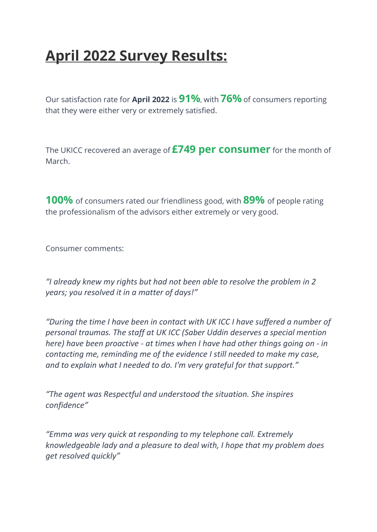## April 2022 Survey Results:

Our satisfaction rate for April 2022 is 91%, with 76% of consumers reporting that they were either very or extremely satisfied.

The UKICC recovered an average of **£749 per consumer** for the month of March.

100% of consumers rated our friendliness good, with 89% of people rating the professionalism of the advisors either extremely or very good.

Consumer comments:

"I already knew my rights but had not been able to resolve the problem in 2 years; you resolved it in a matter of days!"

"During the time I have been in contact with UK ICC I have suffered a number of personal traumas. The staff at UK ICC (Saber Uddin deserves a special mention here) have been proactive - at times when I have had other things going on - in contacting me, reminding me of the evidence I still needed to make my case, and to explain what I needed to do. I'm very grateful for that support."

"The agent was Respectful and understood the situation. She inspires confidence"

"Emma was very quick at responding to my telephone call. Extremely knowledgeable lady and a pleasure to deal with, I hope that my problem does get resolved quickly"